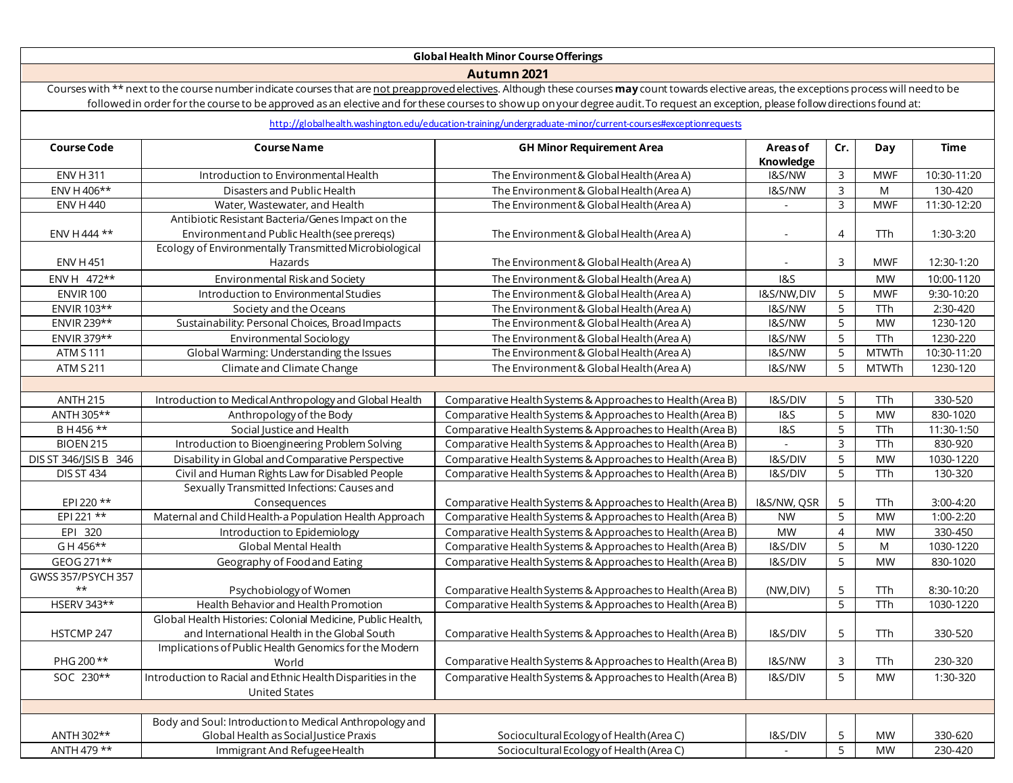## **GlobalHealth Minor CourseOfferings**

**Autumn 2021**

Courses with \*\* next to the course number indicate courses that are not preapproved electives. Although these courses may count towards elective areas, the exceptions process will need to be followed in order for the course to be approved as an elective and for these courses to show up onyour degree audit. To request an exception, please follow directions found at:

## <http://globalhealth.washington.edu/education-training/undergraduate-minor/current-courses#exceptionrequests>

| <b>Course Code</b>    | <b>Course Name</b>                                          | <b>GH Minor Requirement Area</b>                           | Areas of<br>Knowledge | Cr.                 | Day                    | <b>Time</b> |
|-----------------------|-------------------------------------------------------------|------------------------------------------------------------|-----------------------|---------------------|------------------------|-------------|
| <b>ENV H 311</b>      | Introduction to Environmental Health                        | The Environment & Global Health (Area A)                   | I&S/NW                | 3                   | <b>MWF</b>             | 10:30-11:20 |
| ENV H 406**           | Disasters and Public Health                                 | The Environment & Global Health (Area A)                   | I&S/NW                | $\overline{3}$      | M                      | 130-420     |
| <b>ENV H 440</b>      | Water, Wastewater, and Health                               | The Environment & Global Health (Area A)                   |                       | $\mathbf{3}$        | <b>MWF</b>             | 11:30-12:20 |
|                       | Antibiotic Resistant Bacteria/Genes Impact on the           |                                                            |                       |                     |                        |             |
| ENV H 444 **          | Environment and Public Health (see preregs)                 | The Environment & Global Health (Area A)                   |                       | $\overline{4}$      | <b>TTh</b>             | 1:30-3:20   |
|                       | Ecology of Environmentally Transmitted Microbiological      |                                                            |                       |                     |                        |             |
| <b>ENV H 451</b>      | Hazards                                                     | The Environment & Global Health (Area A)                   |                       | $\mathbf{3}$        | <b>MWF</b>             | 12:30-1:20  |
| ENV H 472**           | <b>Environmental Risk and Society</b>                       | The Environment & Global Health (Area A)                   | <b>1&amp;S</b>        |                     | <b>MW</b>              | 10:00-1120  |
| <b>ENVIR 100</b>      | Introduction to Environmental Studies                       | The Environment & Global Health (Area A)                   | I&S/NW,DIV            | 5                   | <b>MWF</b>             | 9:30-10:20  |
| ENVIR 103**           | Society and the Oceans                                      | The Environment & Global Health (Area A)                   | I&S/NW                | $\overline{5}$      | TTh                    | 2:30-420    |
| ENVIR 239**           | Sustainability: Personal Choices, Broad Impacts             | The Environment & Global Health (Area A)                   | I&S/NW                | $\overline{5}$      | <b>MW</b>              | 1230-120    |
| ENVIR 379**           | Environmental Sociology                                     | The Environment & Global Health (Area A)                   | I&S/NW                | $5\overline{)}$     | TTh                    | 1230-220    |
| <b>ATM S 111</b>      | Global Warming: Understanding the Issues                    | The Environment & Global Health (Area A)                   | I&S/NW                | 5                   | <b>MTWTh</b>           | 10:30-11:20 |
| <b>ATM S 211</b>      | Climate and Climate Change                                  | The Environment & Global Health (Area A)                   | I&S/NW                | 5                   | <b>MTWTh</b>           | 1230-120    |
|                       |                                                             |                                                            |                       |                     |                        |             |
| <b>ANTH 215</b>       | Introduction to Medical Anthropology and Global Health      | Comparative Health Systems & Approaches to Health (Area B) | I&S/DIV               | 5                   | TTh                    | 330-520     |
| ANTH 305**            | Anthropology of the Body                                    | Comparative Health Systems & Approaches to Health (Area B) | <b>1&amp;S</b>        | 5                   | <b>MW</b>              | 830-1020    |
| B H 456 **            | Social Justice and Health                                   | Comparative Health Systems & Approaches to Health (Area B) | $\overline{185}$      | $\overline{5}$      | TTh                    | 11:30-1:50  |
| <b>BIOEN 215</b>      | Introduction to Bioengineering Problem Solving              | Comparative Health Systems & Approaches to Health (Area B) |                       | $\overline{\omega}$ | $\overline{\text{Th}}$ | 830-920     |
| DIS ST 346/JSIS B 346 | Disability in Global and Comparative Perspective            | Comparative Health Systems & Approaches to Health (Area B) | I&S/DIV               | 5                   | <b>MW</b>              | 1030-1220   |
| <b>DIS ST 434</b>     | Civil and Human Rights Law for Disabled People              | Comparative Health Systems & Approaches to Health (Area B) | I&S/DIV               | $\overline{5}$      | $\overline{\text{Th}}$ | 130-320     |
|                       | Sexually Transmitted Infections: Causes and                 |                                                            |                       |                     |                        |             |
| EPI 220 **            | Consequences                                                | Comparative Health Systems & Approaches to Health (Area B) | I&S/NW, QSR           | 5                   | TTh                    | $3:00-4:20$ |
| EPI 221 **            | Maternal and Child Health-a Population Health Approach      | Comparative Health Systems & Approaches to Health (Area B) | <b>NW</b>             | 5                   | <b>MW</b>              | $1:00-2:20$ |
| EPI 320               | Introduction to Epidemiology                                | Comparative Health Systems & Approaches to Health (Area B) | <b>MW</b>             | $\overline{4}$      | <b>MW</b>              | 330-450     |
| GH 456**              | Global Mental Health                                        | Comparative Health Systems & Approaches to Health (Area B) | I&S/DIV               | 5                   | M                      | 1030-1220   |
| GEOG 271**            | Geography of Food and Eating                                | Comparative Health Systems & Approaches to Health (Area B) | I&S/DIV               | 5                   | <b>MW</b>              | 830-1020    |
| GWSS 357/PSYCH 357    |                                                             |                                                            |                       |                     |                        |             |
| $\star\star$          | Psychobiology of Women                                      | Comparative Health Systems & Approaches to Health (Area B) | (NW, DIV)             | 5                   | TTh                    | 8:30-10:20  |
| HSERV 343**           | Health Behavior and Health Promotion                        | Comparative Health Systems & Approaches to Health (Area B) |                       | $\overline{5}$      | TTh                    | 1030-1220   |
|                       | Global Health Histories: Colonial Medicine, Public Health,  |                                                            |                       |                     |                        |             |
| HSTCMP 247            | and International Health in the Global South                | Comparative Health Systems & Approaches to Health (Area B) | I&S/DIV               | 5                   | TTh                    | 330-520     |
|                       | Implications of Public Health Genomics for the Modern       |                                                            |                       |                     |                        |             |
| PHG 200**             | World                                                       | Comparative Health Systems & Approaches to Health (Area B) | I&S/NW                | 3                   | TTh                    | 230-320     |
| SOC 230**             | Introduction to Racial and Ethnic Health Disparities in the | Comparative Health Systems & Approaches to Health (Area B) | I&S/DIV               | 5                   | <b>MW</b>              | 1:30-320    |
|                       | <b>United States</b>                                        |                                                            |                       |                     |                        |             |
|                       |                                                             |                                                            |                       |                     |                        |             |
|                       | Body and Soul: Introduction to Medical Anthropology and     |                                                            |                       |                     |                        |             |
| ANTH 302**            | Global Health as Social Justice Praxis                      | Sociocultural Ecology of Health (Area C)                   | I&S/DIV               | 5                   | <b>MW</b>              | 330-620     |
| ANTH 479 **           | Immigrant And Refugee Health                                | Sociocultural Ecology of Health (Area C)                   | $\sim$                | $\overline{5}$      | <b>MW</b>              | 230-420     |